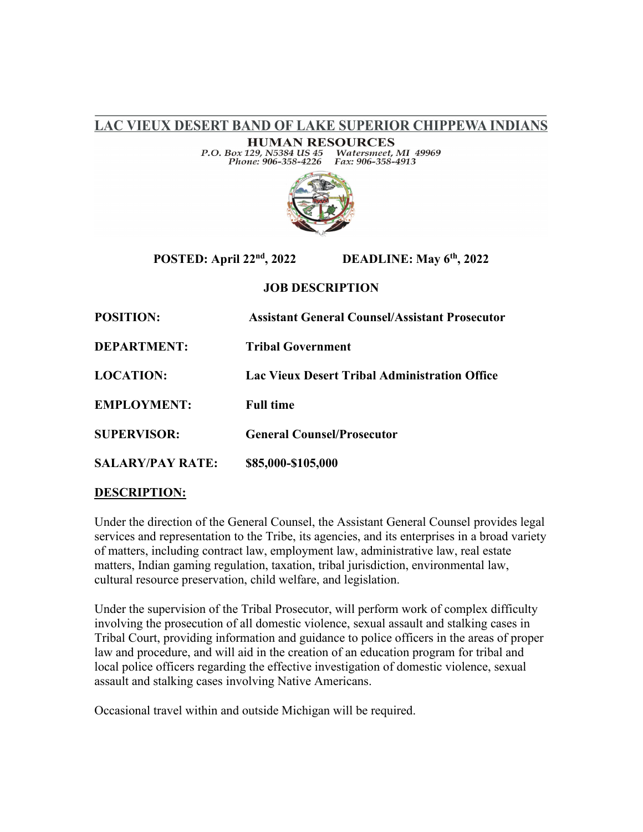LAC VIEUX DESERT BAND OF LAKE SUPERIOR CHIPPEWA INDIANS

**HUMAN RESOURCES** Watersmeet, MI 49969<br>Fax: 906-358-4913 P.O. Box 129, N5384 US 45 Phone: 906-358-4226



# **POSTED: April 22nd, 2022 DEADLINE: May 6th, 2022**

## **JOB DESCRIPTION**

| <b>POSITION:</b>        | <b>Assistant General Counsel/Assistant Prosecutor</b> |
|-------------------------|-------------------------------------------------------|
| <b>DEPARTMENT:</b>      | <b>Tribal Government</b>                              |
| <b>LOCATION:</b>        | Lac Vieux Desert Tribal Administration Office         |
| <b>EMPLOYMENT:</b>      | <b>Full time</b>                                      |
| <b>SUPERVISOR:</b>      | <b>General Counsel/Prosecutor</b>                     |
| <b>SALARY/PAY RATE:</b> | \$85,000-\$105,000                                    |

## **DESCRIPTION:**

Under the direction of the General Counsel, the Assistant General Counsel provides legal services and representation to the Tribe, its agencies, and its enterprises in a broad variety of matters, including contract law, employment law, administrative law, real estate matters, Indian gaming regulation, taxation, tribal jurisdiction, environmental law, cultural resource preservation, child welfare, and legislation.

Under the supervision of the Tribal Prosecutor, will perform work of complex difficulty involving the prosecution of all domestic violence, sexual assault and stalking cases in Tribal Court, providing information and guidance to police officers in the areas of proper law and procedure, and will aid in the creation of an education program for tribal and local police officers regarding the effective investigation of domestic violence, sexual assault and stalking cases involving Native Americans.

Occasional travel within and outside Michigan will be required.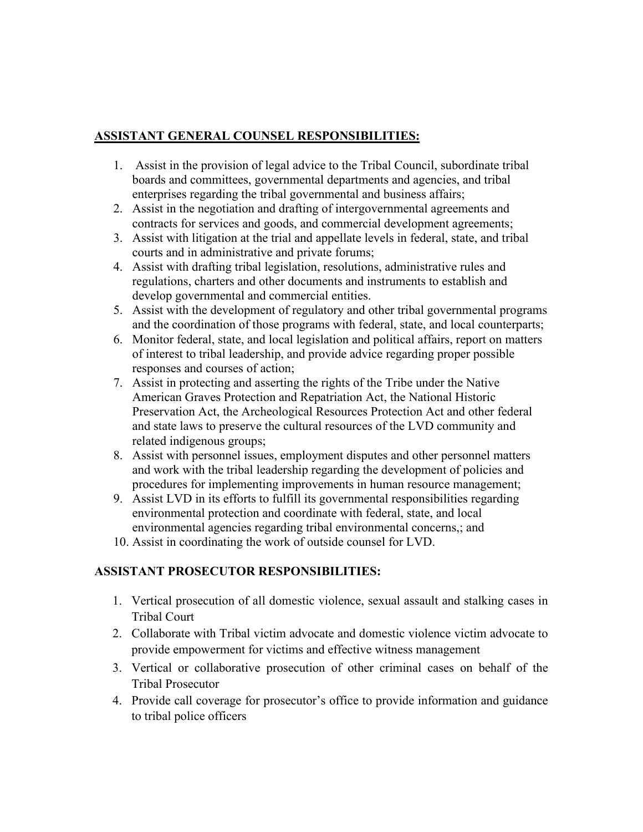## **ASSISTANT GENERAL COUNSEL RESPONSIBILITIES:**

- 1. Assist in the provision of legal advice to the Tribal Council, subordinate tribal boards and committees, governmental departments and agencies, and tribal enterprises regarding the tribal governmental and business affairs;
- 2. Assist in the negotiation and drafting of intergovernmental agreements and contracts for services and goods, and commercial development agreements;
- 3. Assist with litigation at the trial and appellate levels in federal, state, and tribal courts and in administrative and private forums;
- 4. Assist with drafting tribal legislation, resolutions, administrative rules and regulations, charters and other documents and instruments to establish and develop governmental and commercial entities.
- 5. Assist with the development of regulatory and other tribal governmental programs and the coordination of those programs with federal, state, and local counterparts;
- 6. Monitor federal, state, and local legislation and political affairs, report on matters of interest to tribal leadership, and provide advice regarding proper possible responses and courses of action;
- 7. Assist in protecting and asserting the rights of the Tribe under the Native American Graves Protection and Repatriation Act, the National Historic Preservation Act, the Archeological Resources Protection Act and other federal and state laws to preserve the cultural resources of the LVD community and related indigenous groups;
- 8. Assist with personnel issues, employment disputes and other personnel matters and work with the tribal leadership regarding the development of policies and procedures for implementing improvements in human resource management;
- 9. Assist LVD in its efforts to fulfill its governmental responsibilities regarding environmental protection and coordinate with federal, state, and local environmental agencies regarding tribal environmental concerns,; and
- 10. Assist in coordinating the work of outside counsel for LVD.

## **ASSISTANT PROSECUTOR RESPONSIBILITIES:**

- 1. Vertical prosecution of all domestic violence, sexual assault and stalking cases in Tribal Court
- 2. Collaborate with Tribal victim advocate and domestic violence victim advocate to provide empowerment for victims and effective witness management
- 3. Vertical or collaborative prosecution of other criminal cases on behalf of the Tribal Prosecutor
- 4. Provide call coverage for prosecutor's office to provide information and guidance to tribal police officers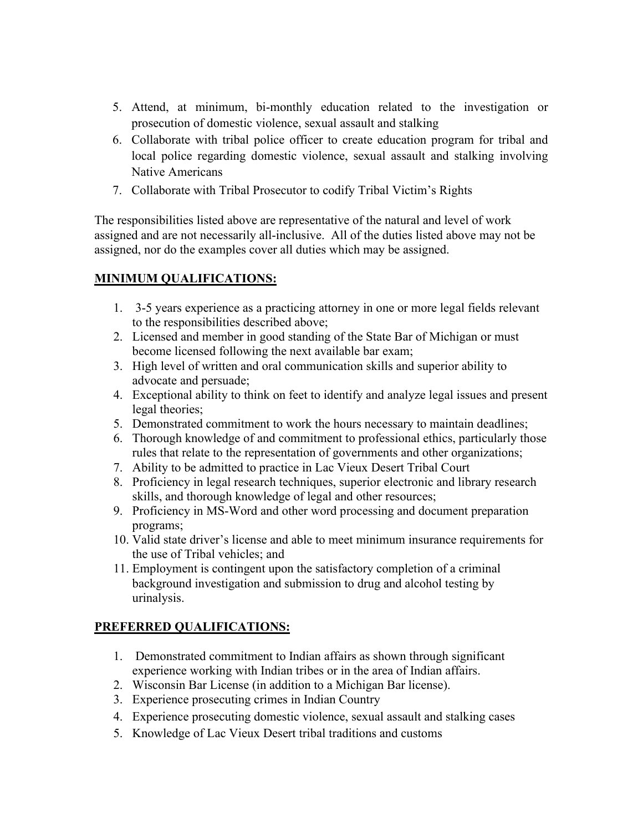- 5. Attend, at minimum, bi-monthly education related to the investigation or prosecution of domestic violence, sexual assault and stalking
- 6. Collaborate with tribal police officer to create education program for tribal and local police regarding domestic violence, sexual assault and stalking involving Native Americans
- 7. Collaborate with Tribal Prosecutor to codify Tribal Victim's Rights

The responsibilities listed above are representative of the natural and level of work assigned and are not necessarily all-inclusive. All of the duties listed above may not be assigned, nor do the examples cover all duties which may be assigned.

# **MINIMUM QUALIFICATIONS:**

- 1. 3-5 years experience as a practicing attorney in one or more legal fields relevant to the responsibilities described above;
- 2. Licensed and member in good standing of the State Bar of Michigan or must become licensed following the next available bar exam;
- 3. High level of written and oral communication skills and superior ability to advocate and persuade;
- 4. Exceptional ability to think on feet to identify and analyze legal issues and present legal theories;
- 5. Demonstrated commitment to work the hours necessary to maintain deadlines;
- 6. Thorough knowledge of and commitment to professional ethics, particularly those rules that relate to the representation of governments and other organizations;
- 7. Ability to be admitted to practice in Lac Vieux Desert Tribal Court
- 8. Proficiency in legal research techniques, superior electronic and library research skills, and thorough knowledge of legal and other resources;
- 9. Proficiency in MS-Word and other word processing and document preparation programs;
- 10. Valid state driver's license and able to meet minimum insurance requirements for the use of Tribal vehicles; and
- 11. Employment is contingent upon the satisfactory completion of a criminal background investigation and submission to drug and alcohol testing by urinalysis.

# **PREFERRED QUALIFICATIONS:**

- 1. Demonstrated commitment to Indian affairs as shown through significant experience working with Indian tribes or in the area of Indian affairs.
- 2. Wisconsin Bar License (in addition to a Michigan Bar license).
- 3. Experience prosecuting crimes in Indian Country
- 4. Experience prosecuting domestic violence, sexual assault and stalking cases
- 5. Knowledge of Lac Vieux Desert tribal traditions and customs